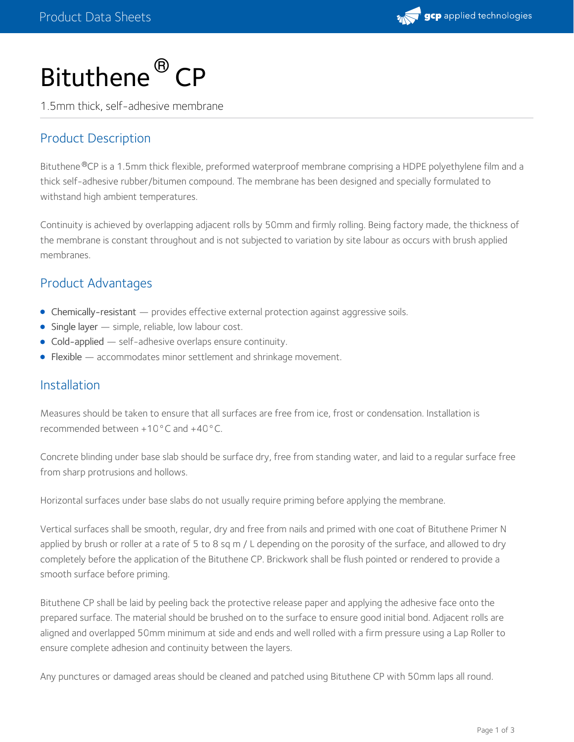

# Bituthene<sup>®</sup> CP

1.5mm thick, self-adhesive membrane

## Product Description

Bituthene®CP is a 1.5mm thick flexible, preformed waterproof membrane comprising a HDPE polyethylene film and a thick self-adhesive rubber/bitumen compound. The membrane has been designed and specially formulated to withstand high ambient temperatures.

Continuity is achieved by overlapping adjacent rolls by 50mm and firmly rolling. Being factory made, the thickness of the membrane is constant throughout and is not subjected to variation by site labour as occurs with brush applied membranes.

### Product Advantages

- Chemically-resistant provides effective external protection against aggressive soils.
- $\bullet$  Single layer  $-$  simple, reliable, low labour cost.
- Cold-applied self-adhesive overlaps ensure continuity.
- **Flexible** accommodates minor settlement and shrinkage movement.

#### Installation

Measures should be taken to ensure that all surfaces are free from ice, frost or condensation. Installation is recommended between +10°C and +40°C.

Concrete blinding under base slab should be surface dry, free from standing water, and laid to a regular surface free from sharp protrusions and hollows.

Horizontal surfaces under base slabs do not usually require priming before applying the membrane.

Vertical surfaces shall be smooth, regular, dry and free from nails and primed with one coat of Bituthene Primer N applied by brush or roller at a rate of 5 to 8 sq m / L depending on the porosity of the surface, and allowed to dry completely before the application of the Bituthene CP. Brickwork shall be flush pointed or rendered to provide a smooth surface before priming.

Bituthene CP shall be laid by peeling back the protective release paper and applying the adhesive face onto the prepared surface. The material should be brushed on to the surface to ensure good initial bond. Adjacent rolls are aligned and overlapped 50mm minimum at side and ends and well rolled with a firm pressure using a Lap Roller to ensure complete adhesion and continuity between the layers.

Any punctures or damaged areas should be cleaned and patched using Bituthene CP with 50mm laps all round.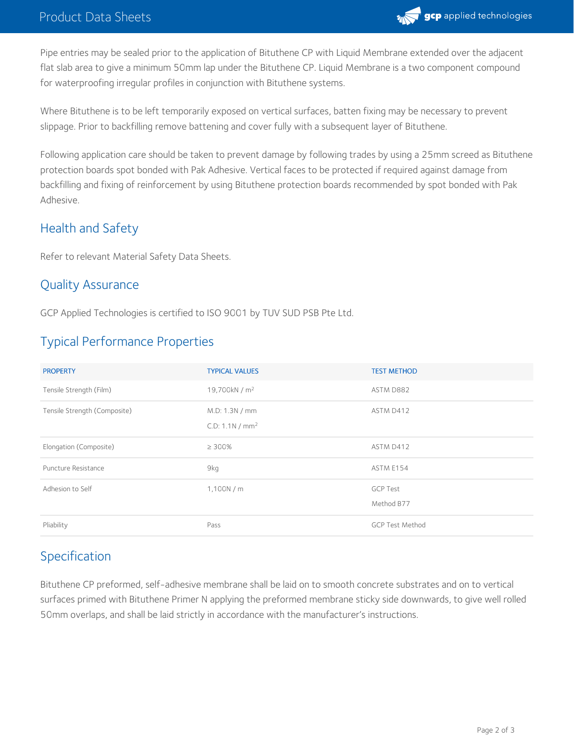

Pipe entries may be sealed prior to the application of Bituthene CP with Liquid Membrane extended over the adjacent flat slab area to give a minimum 50mm lap under the Bituthene CP. Liquid Membrane is a two component compound for waterproofing irregular profiles in conjunction with Bituthene systems.

Where Bituthene is to be left temporarily exposed on vertical surfaces, batten fixing may be necessary to prevent slippage. Prior to backfilling remove battening and cover fully with a subsequent layer of Bituthene.

Following application care should be taken to prevent damage by following trades by using a 25mm screed as Bituthene protection boards spot bonded with Pak Adhesive. Vertical faces to be protected if required against damage from backfilling and fixing of reinforcement by using Bituthene protection boards recommended by spot bonded with Pak Adhesive.

# Health and Safety

Refer to relevant Material Safety Data Sheets.

## Quality Assurance

GCP Applied Technologies is certified to ISO 9001 by TUV SUD PSB Pte Ltd.

# Typical Performance Properties

| <b>PROPERTY</b>              | <b>TYPICAL VALUES</b>                          | <b>TEST METHOD</b>            |
|------------------------------|------------------------------------------------|-------------------------------|
| Tensile Strength (Film)      | 19,700kN / $m2$                                | ASTM D882                     |
| Tensile Strength (Composite) | M.D: 1.3N / mm<br>C.D: 1.1 N / mm <sup>2</sup> | ASTM D412                     |
| Elongation (Composite)       | $\geq 300\%$                                   | ASTM D412                     |
| Puncture Resistance          | 9kg                                            | ASTM E154                     |
| Adhesion to Self             | 1,100N/m                                       | <b>GCP Test</b><br>Method B77 |
| Pliability                   | Pass                                           | <b>GCP Test Method</b>        |

# Specification

Bituthene CP preformed, self-adhesive membrane shall be laid on to smooth concrete substrates and on to vertical surfaces primed with Bituthene Primer N applying the preformed membrane sticky side downwards, to give well rolled 50mm overlaps, and shall be laid strictly in accordance with the manufacturer's instructions.